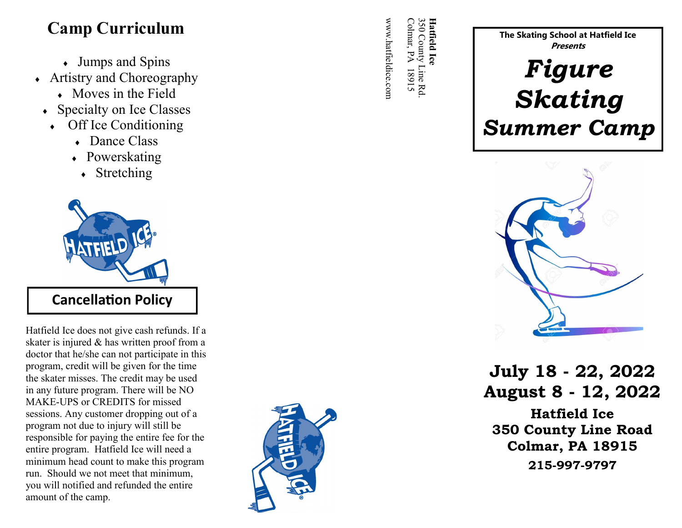# **Camp Curriculum**

- Jumps and Spins
- Artistry and Choreography
	- Moves in the Field
	- Specialty on Ice Classes
		- Off Ice Conditioning
			- Dance Class
			- Powerskating
				- Stretching



Hatfield Ice does not give cash refunds. If a skater is injured & has written proof from a doctor that he/she can not participate in this program, credit will be given for the time the skater misses. The credit may be used in any future program. There will be NO MAKE -UPS or CREDITS for missed sessions. Any customer dropping out of a program not due to injury will still be responsible for paying the entire fee for the entire program. Hatfield Ice will need a minimum head count to make this program run. Should we not meet that minimum, you will notified and refunded the entire amount of the camp.



www.hatfieldice.com www.hatfieldice.com Colmar, PA 18915  $350$  County 350 County Line Rd. **Hatfield Ice** Colmar, PA 18915 Hatfield Ice Line Rd

**The Skating School at Hatfield Ice Presents** *Figure Skating Summer Camp*



**July 18 - 22, 2022 August 8 - 12, 2022 Hatfield Ice 350 County Line Road Colmar, PA 18915 215 -997 -9797**